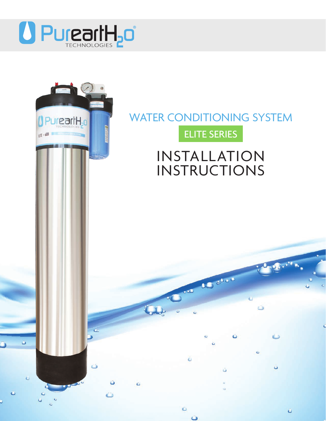

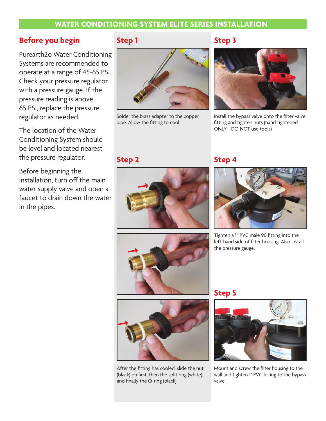## **WATER CONDITIONING SYSTEM ELITE SERIES INSTALLATION**

## **Before you begin**

Purearth2o Water Conditioning Systems are recommended to operate at a range of 45-65 PSI. Check your pressure regulator with a pressure gauge. If the pressure reading is above 65 PSI, replace the pressure regulator as needed.

The location of the Water Conditioning System should be level and located nearest the pressure regulator.

Before beginning the installation, turn off the main water supply valve and open a faucet to drain down the water in the pipes.

# **Step 1**



Solder the brass adapter to the copper pipe. Allow the fitting to cool.

# **Step 3**



Install the bypass valve onto the filter valve fitting and tighten nuts (hand tightened ONLY - DO NOT use tools)

# **Step 2**



# **Step 4**



Tighten a 1" PVC male 90 fitting into the left-hand side of filter housing. Also install the pressure gauge.





After the fitting has cooled, slide the nut (black) on first, then the split ring (white), and finally the O-ring (black).

# **Step 5**



Mount and screw the filter housing to the wall and tighten 1" PVC fitting to the bypass valve.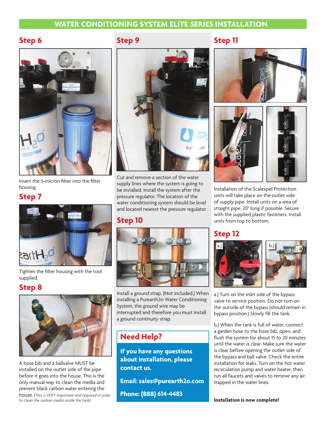## **WATER CONDITIONING SYSTEM ELITE SERIES INSTALLATION**

## **Step 6**



Insert the 5-micron filter into the filter housing.

#### **Step 7**



Tighten the filter housing with the tool supplied.

#### **Step 8**



A hose bib and a ballvalve MUST be installed on the outlet side of the pipe before it goes into the house. This is the only manual way to clean the media and prevent black carbon water entering the house. *(This is VERY important and required in order to clean the carbon media inside the tank)*

# **Step 9**



Cut and remove a section of the water supply lines where the system is going to be installed. Install the system after the pressure regulator. The location of the water conditioning system should be level and located nearest the pressure regulator.

#### **Step 10**



Install a ground strap. (Not included.) When installing a Purearth2o Water Conditioning System, the ground wire may be interrupted and therefore you must install a ground continuity strap.

# **Need Help?**

**If you have any questions about installation, please contact us.**

**Email: sales@purearth2o.com**

**Phone: (888) 614-4483**

# **Step 11**







Installation of the Scalexpel Protection units will take place on the outlet side of supply pipe. Install units on a area of straight pipe, 20" long if possible. Secure with the supplied plastic fasteners. Install units from top to bottom.

# **Step 12**



a.) Turn on the inlet side of the bypass valve to service position. Do not turn on the outside of the bypass (should remain in bypass position.) Slowly fill the tank.

b.) When the tank is full of water, connect a garden hose to the hose bib, open, and flush the system for about 15 to 20 minutes until the water is clear. Make sure the water is clear before opening the outlet side of the bypass and ball valve. Check the entire installation for leaks. Turn on the hot water recirculation pump and water heater, then run all faucets and valves to remove any air trapped in the water lines.